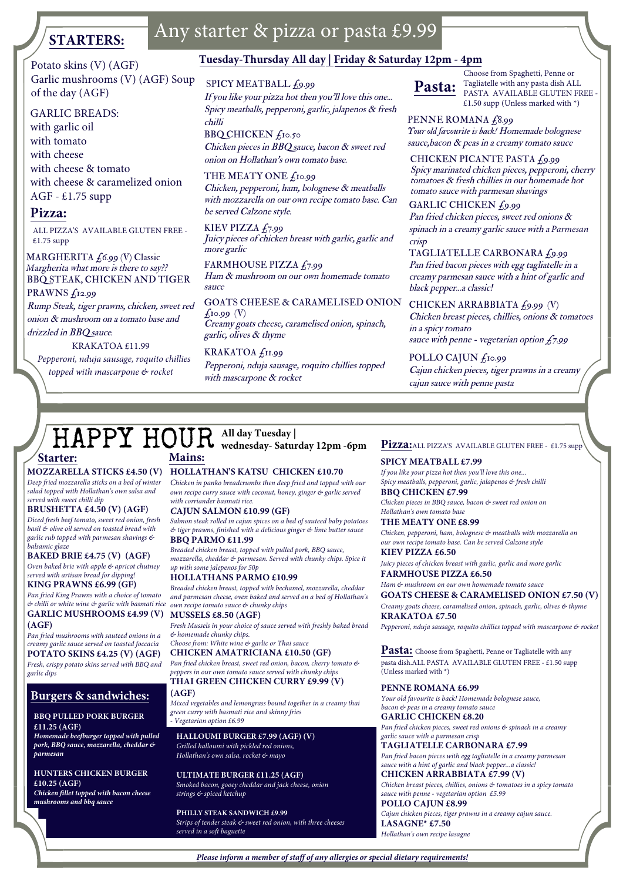# **STARTERS:**

# Any starter & pizza or pasta £9.99

Potato skins (V) (AGF) Garlic mushrooms (V) (AGF) Soup of the day (AGF)

### GARLIC BREADS:

with garlic oil with tomato with cheese with cheese & tomato with cheese & caramelized onionAGF - £1.75 supp

### **Pizza:**

ALL PIZZA'S AVAILABLE GLUTEN FREE - £1.75 supp

MARGHERITA £6.99 (V) Classic *M*argherita what more is there to say?? BBQ STEAK, CHICKEN AND TIGER PRAWNS £12.99

 Rump Steak, tiger prawns, chicken, sweet red onion & mushroom on a tomato base and drizzled in BBQ sauce*.*

KRAKATOA £11.99

 *Pepperoni, nduja sausage, roquito chillies topped with mascarpone & rocket*

# **Tuesday-Thursday All day | Friday & Saturday 12pm - 4pm**

### SPICY MEATBALL £9.99

If you like your pizza hot then you'll love this one... Spicy meatballs, pepperoni, garlic, jalapenos & fresh chilliBBQ CHICKEN  $f_{10.50}$ 

Chicken pieces in BBQ sauce, bacon & sweet red onion on Hollathan's own tomato base*.*

THE MEATY ONE  $f_{10.99}$ Chicken, pepperoni, ham, bolognese & meatballs with mozzarella on our own recipe tomato base. Can be served Calzone style*.*

KIEV PIZZA £7.99 Juicy pieces of chicken breast with garlic, garlic and more garlic

FARMHOUSE PIZZA £7.99 Ham & mushroom on our own homemade tomato sauce

GOATS CHEESE & CARAMELISED ONION  $f_1$ 0.99 (V) Creamy goats cheese, caramelised onion, spinach, garlic, olives & thyme

KRAKATOA £11.99 Pepperoni, nduja sausage, roquito chillies topped with mascarpone & rocket



 Choose from Spaghetti, Penne or Tagliatelle with any pasta dish ALL PASTA AVAILABLE GLUTEN FREE -£1.50 supp (Unless marked with  $*)$ 

PENNE ROMANA £8.99 *Your old favourite is back!* Homemade bolognese sauce, bacon & peas in a creamy tomato sauce

CHICKEN PICANTE PASTA  $f_9.99$  Spicy marinated chicken pieces, pepperoni, cherry tomatoes & fresh chillies in our homemade hot tomato sauce with parmesan shavings GARLIC CHICKEN £9.99

Pan fried chicken pieces, sweet red onions & spinach in a creamy garlic sauce with a *Parmesan*crisp

 TAGLIATELLE CARBONARA £9.99 Pan fried bacon pieces with egg tagliatelle in a creamy parmesan sauce with a hint of garlic and black pepper...a classic!

CHICKEN ARRABBIATA £9.99 (V) Chicken breast pieces, chillies, onions & tomatoes in a spicy tomatosauce with penne - vegetarian option £7.99

POLLO CAJUN  $f_{10.99}$ Cajun chicken pieces, tiger prawns in a creamy cajun sauce with penne pasta

## HAPPY HOUR**All day Tuesday | wednesday- Saturday 12pm -6pm**

## **Starter:**

 *Deep fried mozzarella sticks on a bed of winter salad topped with Hollathan's own salsa and served with sweet chilli dip*

### **BRUSHETTA £4.50 (V) (AGF)**

 *Diced fresh beef tomato, sweet red onion, fresh basil & olive oil served on toasted bread with garlic rub topped with parmesan shavings & balsamic glaze*

 **BAKED BRIE £4.75 (V) (AGF)**  *Oven baked brie with apple & apricot chutney served with artisan bread for dipping!*

**KING PRAWNS £6.99 (GF)**

 *Pan fried King Prawns with a choice of tomato & chilli or white wine & garlic with basmati riceown recipe tomato sauce & chunky chips* **GARLIC MUSHROOMS £4.99 (V) MUSSELS £8.50 (AGF)(AGF)**

 *Pan fried mushrooms with sauteed onions in a creamy garlic sauce served on toasted foccacia*  **POTATO SKINS £4.25 (V) (AGF)**  *Fresh, crispy potato skins served with BBQ and garlic dips* 

## **Burgers & sandwiches:**

#### **BBQ PULLED PORK BURGER £11.25 (AGF)**

 *Homemade beefburger topped with pulled pork, BBQ sauce, mozzarella, cheddar & parmesan*

**HUNTERS CHICKEN BURGER £10.25 (AGF)**

*Chicken fillet topped with bacon cheese mushrooms and bbq sauce*

## **MOZZARELLA STICKS £4.50 (V)HOLLATHAN'S KATSU CHICKEN £10.70**

 *Chicken in panko breadcrumbs then deep fried and topped with our own recipe curry sauce with coconut, honey, ginger & garlic served with corriander basmati rice.*

*C***AJUN SALMON £10.99 (GF)**

 *Salmon steak rolled in cajun spices on a bed of sauteed baby potatoes & tiger prawns, finished with a delicious ginger & lime butter sauce***BBQ PARMO £11.99**

 *Breaded chicken breast, topped with pulled pork, BBQ sauce, mozzarella, cheddar & parmesan. Served with chunky chips. Spice it up with some jalepenos for 50p*

 **HOLLATHANS PARMO £10.99** *Breaded chicken breast, topped with bechamel, mozzarella, cheddar* 

*and parmesan cheese, oven baked and served on a bed of Hollathan's* 

 *Fresh Mussels in your choice of sauce served with freshly baked bread & homemade chunky chips.*

#### *Choose from: White wine & garlic or Thai sauce***CHICKEN AMATRICIANA £10.50 (GF)**

 *Pan fried chicken breast, sweet red onion, bacon, cherry tomato & peppers in our own tomato sauce served with chunky chips* 

**THAI GREEN CHICKEN CURRY £9.99 (V) (AGF)**

 *Mixed vegetables and lemongrass bound together in a creamy thai green curry with basmati rice and skinny fries - Vegetarian option £6.99*

**HALLOUMI BURGER £7.99 (AGF) (V)** *Grilled halloumi with pickled red onions, Hollathan's own salsa, rocket & mayo* 

**ULTIMATE BURGER £11.25 (AGF)** *Smoked bacon, gooey cheddar and jack cheese, onion strings & spiced ketchup*

**PHILLY STEAK SANDWICH £9.99** *Strips of tender steak & sweet red onion, with three cheeses served in a soft baguette* 

### Pizza: ALL PIZZA'S AVAILABLE GLUTEN FREE - £1.75 supp

## **Mains: SPICY MEATBALL £7.99**

 *If you like your pizza hot then you'll love this one... Spicy meatballs, pepperoni, garlic, jalapenos & fresh chilli***BBQ CHICKEN £7.99**

 *Chicken pieces in BBQ sauce, bacon & sweet red onion onHollathan's own tomato base*

**THE MEATY ONE £8.99**

 *Chicken, pepperoni, ham, bolognese & meatballs with mozzarella onour own recipe tomato base. Can be served Calzone style***KIEV PIZZA £6.50**

 *Juicy pieces of chicken breast with garlic, garlic and more garlic***FARMHOUSE PIZZA £6.50**

#### *Ham & mushroom on our own homemade tomato sauce***GOATS CHEESE & CARAMELISED ONION £7.50 (V)**

*Creamy goats cheese, caramelised onion, spinach, garlic, olives & thyme*  **KRAKATOA £7.50**

*Pepperoni, nduja sausage, roquito chillies topped with mascarpone & rocket*

**Pasta:** Choose from Spaghetti, Penne or Tagliatelle with any pasta dish.<br>ALL PASTA AVAILABLE GLUTEN FREE -  $\pounds 1.50$  supp (Unless marked with \*)

### **PENNE ROMANA £6.99**

 *Your old favourite is back! Homemade bolognese sauce, bacon & peas in a creamy tomato sauce***GARLIC CHICKEN £8.20**

 *Pan fried chicken pieces, sweet red onions & spinach in a creamygarlic sauce with a parmesan crisp*

**TAGLIATELLE CARBONARA £7.99**

 *Pan fried bacon pieces with egg tagliatelle in a creamy parmesan sauce with a hint of garlic and black pepper...a classic!* **CHICKEN ARRABBIATA £7.99 (V)**

 *Chicken breast pieces, chillies, onions & tomatoes in a spicy tomatosauce with penne - vegetarian option £5.99***POLLO CAJUN £8.99**

 *Cajun chicken pieces, tiger prawns in a creamy cajun sauce.* **LASAGNE\* £7.50**  *Hollathan's own recipe lasagne*

*Please inform a member of staff of any allergies or special dietary requirements!*